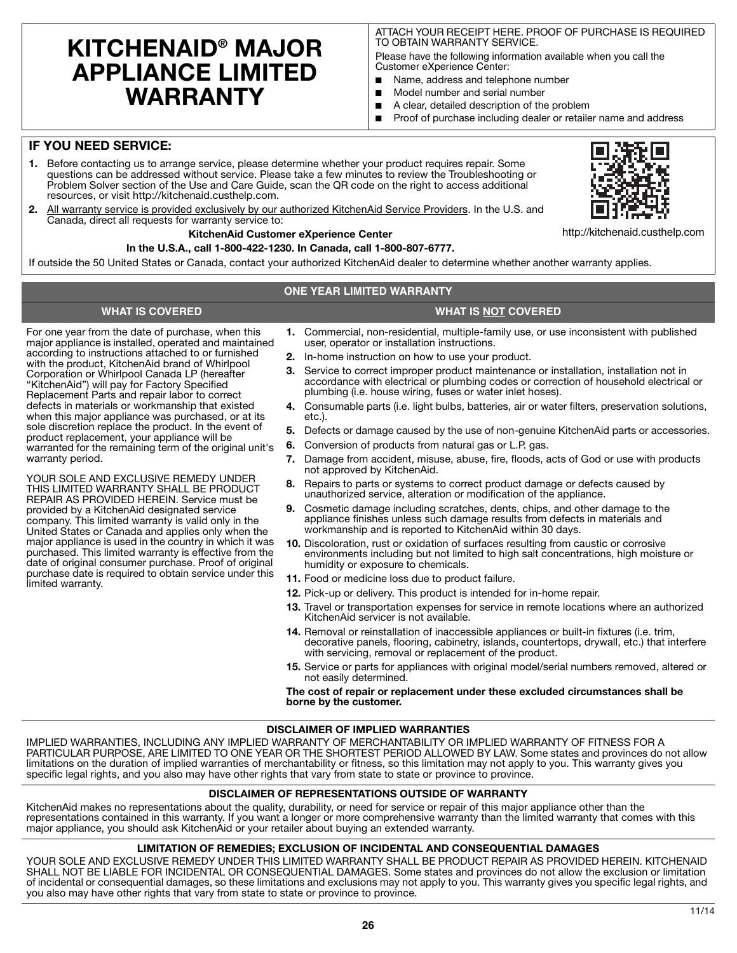# **KITCHENAID® MAJOR APPLIANCE LIMITED WARRANTY**

ATTACH YOUR RECEIPT HERE. PROOF OF PURCHASE IS REQUIRED TO OBTAIN WARRANTY SERVICE.

Please have the following information available when you call the Customer eXperience Center:

- Name, address and telephone number
- Model number and serial number
- A clear, detailed description of the problem
- Proof of purchase including dealer or retailer name and address

## **IF YOU NEED SERVICE:**

- **1.** Before contacting us to arrange service, please determine whether your product requires repair. Some questions can be addressed without service. Please take a few minutes to review the Troubleshooting or Problem Solver section of the Use and Care Guide, scan the QR code on the right to access additional resources, or visit http://kitchenaid.custhelp.com.
- **2.** All warranty service is provided exclusively by our authorized KitchenAid Service Providers. In the U.S. and Canada, direct all requests for warranty service to:

## **KitchenAid Customer eXperience Center**

**In the U.S.A., call 1-800-422-1230. In Canada, call 1-800-807-6777.**

If outside the 50 United States or Canada, contact your authorized KitchenAid dealer to determine whether another warranty applies.

## **ONE YEAR LIMITED WARRANTY**

# **WHAT IS COVERED WHAT IS NOT COVERED**

For one year from the date of purchase, when this major appliance is installed, operated and maintained according to instructions attached to or furnished with the product, KitchenAid brand of Whirlpool Corporation or Whirlpool Canada LP (hereafter "KitchenAid") will pay for Factory Specified Replacement Parts and repair labor to correct defects in materials or workmanship that existed when this major appliance was purchased, or at its sole discretion replace the product. In the event of product replacement, your appliance will be warranted for the remaining term of the original unit's warranty period.

YOUR SOLE AND EXCLUSIVE REMEDY UNDER THIS LIMITED WARRANTY SHALL BE PRODUCT REPAIR AS PROVIDED HEREIN. Service must be provided by a KitchenAid designated service company. This limited warranty is valid only in the United States or Canada and applies only when the major appliance is used in the country in which it was purchased. This limited warranty is effective from the date of original consumer purchase. Proof of original purchase date is required to obtain service under this limited warranty.

- **1.** Commercial, non-residential, multiple-family use, or use inconsistent with published user, operator or installation instructions.
- **2.** In-home instruction on how to use your product.
- **3.** Service to correct improper product maintenance or installation, installation not in accordance with electrical or plumbing codes or correction of household electrical or plumbing (i.e. house wiring, fuses or water inlet hoses).
- **4.** Consumable parts (i.e. light bulbs, batteries, air or water filters, preservation solutions, etc.).
- **5.** Defects or damage caused by the use of non-genuine KitchenAid parts or accessories.
- **6.** Conversion of products from natural gas or L.P. gas.
- **7.** Damage from accident, misuse, abuse, fire, floods, acts of God or use with products not approved by KitchenAid.
- **8.** Repairs to parts or systems to correct product damage or defects caused by unauthorized service, alteration or modification of the appliance.
- **9.** Cosmetic damage including scratches, dents, chips, and other damage to the appliance finishes unless such damage results from defects in materials and workmanship and is reported to KitchenAid within 30 days.
- **10.** Discoloration, rust or oxidation of surfaces resulting from caustic or corrosive environments including but not limited to high salt concentrations, high moisture or humidity or exposure to chemicals.
- **11.** Food or medicine loss due to product failure.
- **12.** Pick-up or delivery. This product is intended for in-home repair.
- **13.** Travel or transportation expenses for service in remote locations where an authorized KitchenAid servicer is not available.
- **14.** Removal or reinstallation of inaccessible appliances or built-in fixtures (i.e. trim, decorative panels, flooring, cabinetry, islands, countertops, drywall, etc.) that interfere with servicing, removal or replacement of the product.
- **15.** Service or parts for appliances with original model/serial numbers removed, altered or not easily determined.

#### **The cost of repair or replacement under these excluded circumstances shall be borne by the customer.**

### **DISCLAIMER OF IMPLIED WARRANTIES**

IMPLIED WARRANTIES, INCLUDING ANY IMPLIED WARRANTY OF MERCHANTABILITY OR IMPLIED WARRANTY OF FITNESS FOR A PARTICULAR PURPOSE, ARE LIMITED TO ONE YEAR OR THE SHORTEST PERIOD ALLOWED BY LAW. Some states and provinces do not allow limitations on the duration of implied warranties of merchantability or fitness, so this limitation may not apply to you. This warranty gives you specific legal rights, and you also may have other rights that vary from state to state or province to province.

## **DISCLAIMER OF REPRESENTATIONS OUTSIDE OF WARRANTY**

KitchenAid makes no representations about the quality, durability, or need for service or repair of this major appliance other than the representations contained in this warranty. If you want a longer or more comprehensive warranty than the limited warranty that comes with this major appliance, you should ask KitchenAid or your retailer about buying an extended warranty.

### **LIMITATION OF REMEDIES; EXCLUSION OF INCIDENTAL AND CONSEQUENTIAL DAMAGES**

YOUR SOLE AND EXCLUSIVE REMEDY UNDER THIS LIMITED WARRANTY SHALL BE PRODUCT REPAIR AS PROVIDED HEREIN. KITCHENAID SHALL NOT BE LIABLE FOR INCIDENTAL OR CONSEQUENTIAL DAMAGES. Some states and provinces do not allow the exclusion or limitation of incidental or consequential damages, so these limitations and exclusions may not apply to you. This warranty gives you specific legal rights, and you also may have other rights that vary from state to state or province to province.



http://kitchenaid.custhelp.com